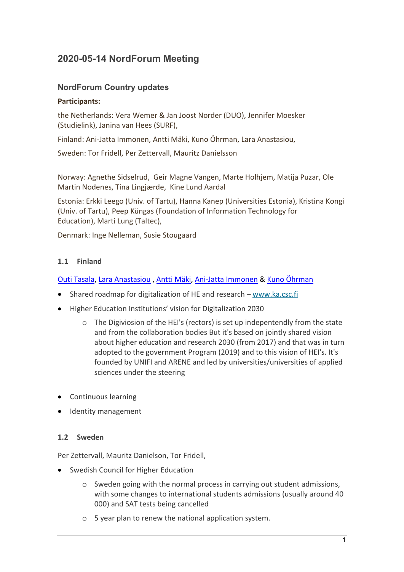# **2020-05-14 NordForum Meeting**

# **NordForum Country updates**

#### **Participants:**

the Netherlands: Vera Wemer & Jan Joost Norder (DUO), Jennifer Moesker (Studielink), Janina van Hees (SURF),

Finland: Ani-Jatta Immonen, Antti Mäki, Kuno Öhrman, Lara Anastasiou,

Sweden: Tor Fridell, Per Zettervall, Mauritz Danielsson

Norway: Agnethe Sidselrud, Geir Magne Vangen, Marte Holhjem, Matija Puzar, Ole Martin Nodenes, Tina Lingjærde, Kine Lund Aardal

Estonia: Erkki Leego (Univ. of Tartu), Hanna Kanep (Universities Estonia), Kristina Kongi (Univ. of Tartu), Peep Küngas (Foundation of Information Technology for Education), Marti Lung (Taltec),

Denmark: Inge Nelleman, Susie Stougaard

## **1.1 Finland**

## [Outi Tasala,](https://wiki.eduuni.fi/display/%7Ee105438) [Lara Anastasiou](https://wiki.eduuni.fi/display/%7Ee123010) , [Antti Mäki,](https://wiki.eduuni.fi/display/%7Ee100132) [Ani-Jatta Immonen](https://wiki.eduuni.fi/display/%7Ee100074) & [Kuno Öhrman](https://wiki.eduuni.fi/display/%7Ee152886)

- Shared roadmap for digitalization of HE and research [www.ka.csc.fi](http://www.ka.csc.fi/)
- Higher Education Institutions' vision for Digitalization 2030
	- o The Digiviosion of the HEI's (rectors) is set up indepentendly from the state and from the collaboration bodies But it's based on jointly shared vision about higher education and research 2030 (from 2017) and that was in turn adopted to the government Program (2019) and to this vision of HEI's. It's founded by UNIFI and ARENE and led by universities/universities of applied sciences under the steering
- Continuous learning
- Identity management

## **1.2 Sweden**

Per Zettervall, Mauritz Danielson, Tor Fridell,

- Swedish Council for Higher Education
	- o Sweden going with the normal process in carrying out student admissions, with some changes to international students admissions (usually around 40 000) and SAT tests being cancelled
	- o 5 year plan to renew the national application system.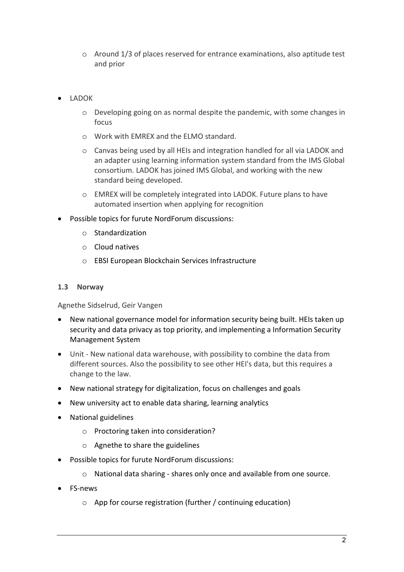- o Around 1/3 of places reserved for entrance examinations, also aptitude test and prior
- LADOK
	- o Developing going on as normal despite the pandemic, with some changes in focus
	- o Work with EMREX and the ELMO standard.
	- o Canvas being used by all HEIs and integration handled for all via LADOK and an adapter using learning information system standard from the IMS Global consortium. LADOK has joined IMS Global, and working with the new standard being developed.
	- o EMREX will be completely integrated into LADOK. Future plans to have automated insertion when applying for recognition
- Possible topics for furute NordForum discussions:
	- o Standardization
	- o Cloud natives
	- o EBSI European Blockchain Services Infrastructure

#### **1.3 Norway**

Agnethe Sidselrud, Geir Vangen

- New national governance model for information security being built. HEIs taken up security and data privacy as top priority, and implementing a Information Security Management System
- Unit New national data warehouse, with possibility to combine the data from different sources. Also the possibility to see other HEI's data, but this requires a change to the law.
- New national strategy for digitalization, focus on challenges and goals
- New university act to enable data sharing, learning analytics
- National guidelines
	- o Proctoring taken into consideration?
	- o Agnethe to share the guidelines
- Possible topics for furute NordForum discussions:
	- o National data sharing shares only once and available from one source.
- FS-news
	- o App for course registration (further / continuing education)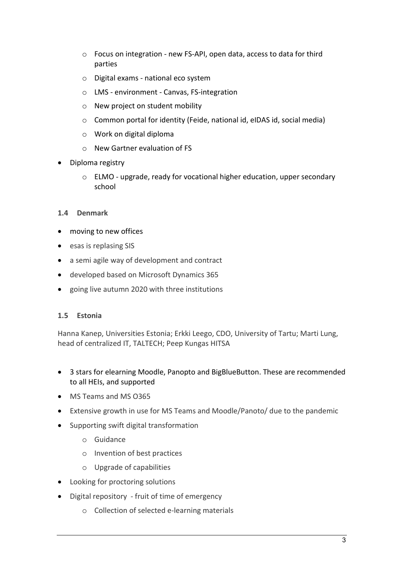- o Focus on integration new FS-API, open data, access to data for third parties
- o Digital exams national eco system
- o LMS environment Canvas, FS-integration
- o New project on student mobility
- o Common portal for identity (Feide, national id, eIDAS id, social media)
- o Work on digital diploma
- o New Gartner evaluation of FS
- Diploma registry
	- o ELMO upgrade, ready for vocational higher education, upper secondary school

## **1.4 Denmark**

- moving to new offices
- esas is replasing SIS
- a semi agile way of development and contract
- developed based on Microsoft Dynamics 365
- going live autumn 2020 with three institutions

## **1.5 Estonia**

Hanna Kanep, Universities Estonia; Erkki Leego, CDO, University of Tartu; Marti Lung, head of centralized IT, TALTECH; Peep Kungas HITSA

- 3 stars for elearning Moodle, Panopto and BigBlueButton. These are recommended to all HEIs, and supported
- MS Teams and MS O365
- Extensive growth in use for MS Teams and Moodle/Panoto/ due to the pandemic
- Supporting swift digital transformation
	- o Guidance
	- o Invention of best practices
	- o Upgrade of capabilities
- Looking for proctoring solutions
- Digital repository fruit of time of emergency
	- o Collection of selected e-learning materials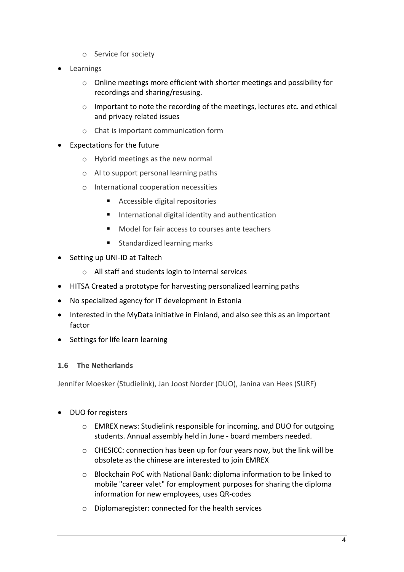- o Service for society
- **Learnings** 
	- o Online meetings more efficient with shorter meetings and possibility for recordings and sharing/resusing.
	- $\circ$  Important to note the recording of the meetings, lectures etc. and ethical and privacy related issues
	- o Chat is important communication form
- Expectations for the future
	- o Hybrid meetings as the new normal
	- o AI to support personal learning paths
	- o International cooperation necessities
		- Accessible digital repositories
		- International digital identity and authentication
		- **Model for fair access to courses ante teachers**
		- **Standardized learning marks**
- Setting up UNI-ID at Taltech
	- o All staff and students login to internal services
- HITSA Created a prototype for harvesting personalized learning paths
- No specialized agency for IT development in Estonia
- Interested in the MyData initiative in Finland, and also see this as an important factor
- Settings for life learn learning

## **1.6 The Netherlands**

Jennifer Moesker (Studielink), Jan Joost Norder (DUO), Janina van Hees (SURF)

- DUO for registers
	- o EMREX news: Studielink responsible for incoming, and DUO for outgoing students. Annual assembly held in June - board members needed.
	- $\circ$  CHESICC: connection has been up for four years now, but the link will be obsolete as the chinese are interested to join EMREX
	- o Blockchain PoC with National Bank: diploma information to be linked to mobile "career valet" for employment purposes for sharing the diploma information for new employees, uses QR-codes
	- o Diplomaregister: connected for the health services